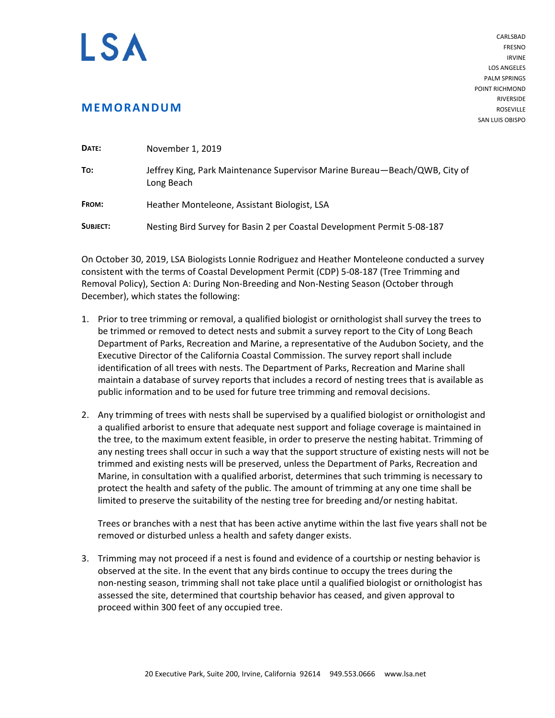## I SA

## **MEMORANDUM**

CARLSBAD FRESNO IRVINE LOS ANGELES PALM SPRINGS POINT RICHMOND RIVERSIDE ROSEVILLE SAN LUIS OBISPO

| DATE:    | November 1, 2019                                                                         |
|----------|------------------------------------------------------------------------------------------|
| To:      | Jeffrey King, Park Maintenance Supervisor Marine Bureau—Beach/QWB, City of<br>Long Beach |
| FROM:    | Heather Monteleone, Assistant Biologist, LSA                                             |
| SUBJECT: | Nesting Bird Survey for Basin 2 per Coastal Development Permit 5-08-187                  |

On October 30, 2019, LSA Biologists Lonnie Rodriguez and Heather Monteleone conducted a survey consistent with the terms of Coastal Development Permit (CDP) 5-08-187 (Tree Trimming and Removal Policy), Section A: During Non-Breeding and Non-Nesting Season (October through December), which states the following:

- 1. Prior to tree trimming or removal, a qualified biologist or ornithologist shall survey the trees to be trimmed or removed to detect nests and submit a survey report to the City of Long Beach Department of Parks, Recreation and Marine, a representative of the Audubon Society, and the Executive Director of the California Coastal Commission. The survey report shall include identification of all trees with nests. The Department of Parks, Recreation and Marine shall maintain a database of survey reports that includes a record of nesting trees that is available as public information and to be used for future tree trimming and removal decisions.
- 2. Any trimming of trees with nests shall be supervised by a qualified biologist or ornithologist and a qualified arborist to ensure that adequate nest support and foliage coverage is maintained in the tree, to the maximum extent feasible, in order to preserve the nesting habitat. Trimming of any nesting trees shall occur in such a way that the support structure of existing nests will not be trimmed and existing nests will be preserved, unless the Department of Parks, Recreation and Marine, in consultation with a qualified arborist, determines that such trimming is necessary to protect the health and safety of the public. The amount of trimming at any one time shall be limited to preserve the suitability of the nesting tree for breeding and/or nesting habitat.

Trees or branches with a nest that has been active anytime within the last five years shall not be removed or disturbed unless a health and safety danger exists.

3. Trimming may not proceed if a nest is found and evidence of a courtship or nesting behavior is observed at the site. In the event that any birds continue to occupy the trees during the non-nesting season, trimming shall not take place until a qualified biologist or ornithologist has assessed the site, determined that courtship behavior has ceased, and given approval to proceed within 300 feet of any occupied tree.